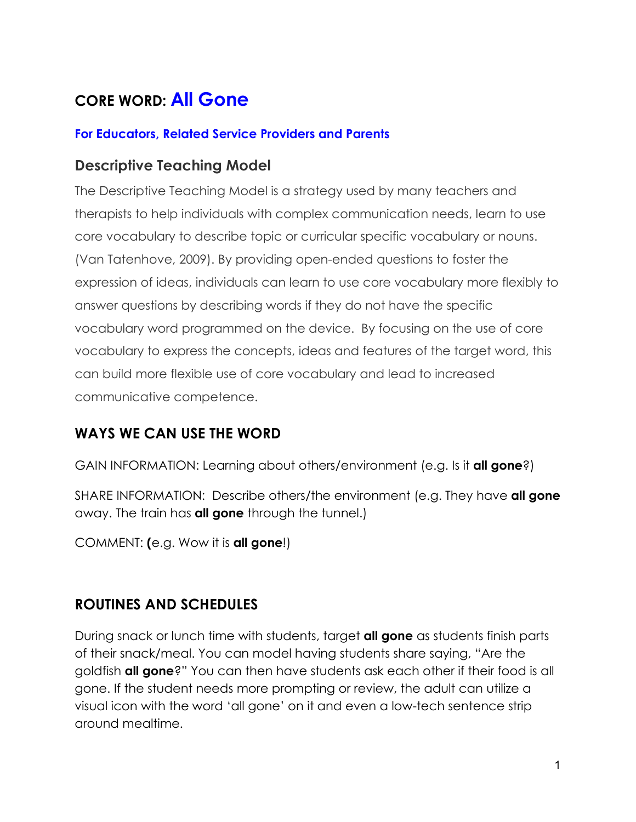# **CORE WORD: All Gone**

#### **For Educators, Related Service Providers and Parents**

#### **Descriptive Teaching Model**

The Descriptive Teaching Model is a strategy used by many teachers and therapists to help individuals with complex communication needs, learn to use core vocabulary to describe topic or curricular specific vocabulary or nouns. (Van Tatenhove, 2009). By providing open-ended questions to foster the expression of ideas, individuals can learn to use core vocabulary more flexibly to answer questions by describing words if they do not have the specific vocabulary word programmed on the device. By focusing on the use of core vocabulary to express the concepts, ideas and features of the target word, this can build more flexible use of core vocabulary and lead to increased communicative competence.

## **WAYS WE CAN USE THE WORD**

GAIN INFORMATION: Learning about others/environment (e.g. Is it **all gone**?)

SHARE INFORMATION: Describe others/the environment (e.g. They have **all gone** away. The train has **all gone** through the tunnel.)

COMMENT: **(**e.g. Wow it is **all gone**!)

## **ROUTINES AND SCHEDULES**

During snack or lunch time with students, target **all gone** as students finish parts of their snack/meal. You can model having students share saying, "Are the goldfish **all gone**?" You can then have students ask each other if their food is all gone. If the student needs more prompting or review, the adult can utilize a visual icon with the word 'all gone' on it and even a low-tech sentence strip around mealtime.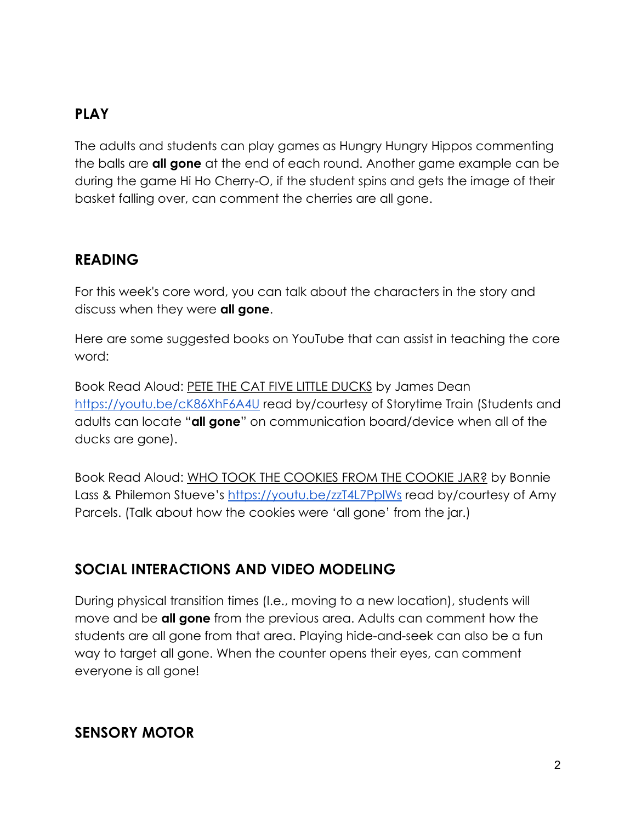## **PLAY**

The adults and students can play games as Hungry Hungry Hippos commenting the balls are **all gone** at the end of each round. Another game example can be during the game Hi Ho Cherry-O, if the student spins and gets the image of their basket falling over, can comment the cherries are all gone.

#### **READING**

For this week's core word, you can talk about the characters in the story and discuss when they were **all gone**.

Here are some suggested books on YouTube that can assist in teaching the core word:

Book Read Aloud: PETE THE CAT FIVE LITTLE DUCKS by James Dean <https://youtu.be/cK86XhF6A4U> read by/courtesy of Storytime Train (Students and adults can locate "**all gone**" on communication board/device when all of the ducks are gone).

Book Read Aloud: WHO TOOK THE COOKIES FROM THE COOKIE JAR? by Bonnie Lass & Philemon Stueve's<https://youtu.be/zzT4L7PplWs> read by/courtesy of Amy Parcels. (Talk about how the cookies were 'all gone' from the jar.)

## **SOCIAL INTERACTIONS AND VIDEO MODELING**

During physical transition times (I.e., moving to a new location), students will move and be **all gone** from the previous area. Adults can comment how the students are all gone from that area. Playing hide-and-seek can also be a fun way to target all gone. When the counter opens their eyes, can comment everyone is all gone!

#### **SENSORY MOTOR**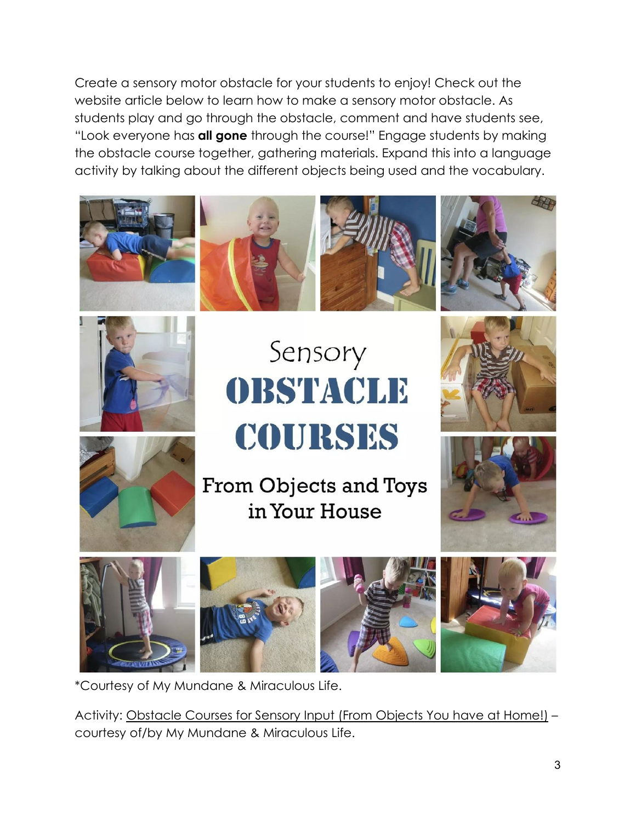Create a sensory motor obstacle for your students to enjoy! Check out the website article below to learn how to make a sensory motor obstacle. As students play and go through the obstacle, comment and have students see, "Look everyone has **all gone** through the course!" Engage students by making the obstacle course together, gathering materials. Expand this into a language activity by talking about the different objects being used and the vocabulary.









# Sensory OBSTACLE COURSES





From Objects and Toys in Your House











\*Courtesy of My Mundane & Miraculous Life.

Activity: Obstacle Courses for Sensory Input (From Objects You have at Home!) – courtesy of/by My Mundane & Miraculous Life.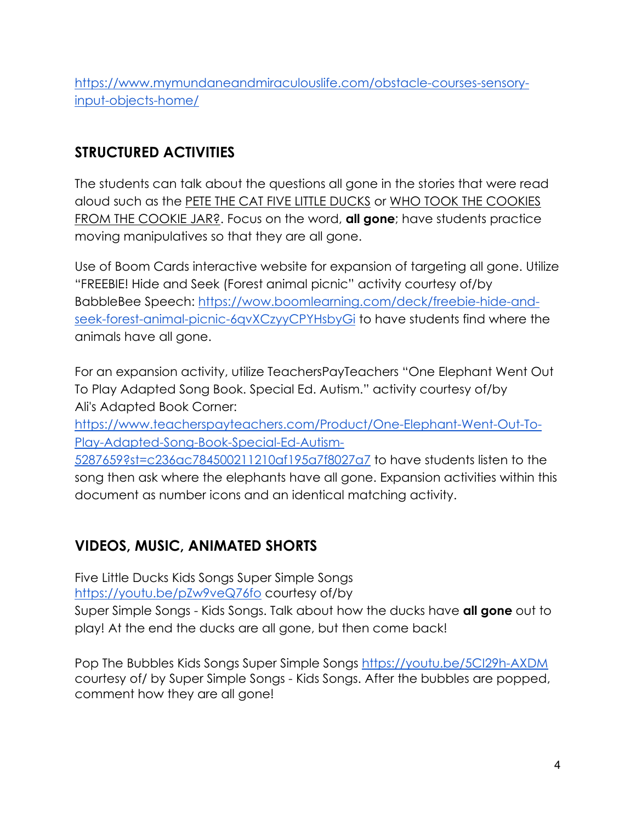[https://www.mymundaneandmiraculouslife.com/obstacle-courses-sensory](https://www.mymundaneandmiraculouslife.com/obstacle-courses-sensory-input-objects-home/)[input-objects-home/](https://www.mymundaneandmiraculouslife.com/obstacle-courses-sensory-input-objects-home/)

## **STRUCTURED ACTIVITIES**

The students can talk about the questions all gone in the stories that were read aloud such as the PETE THE CAT FIVE LITTLE DUCKS or WHO TOOK THE COOKIES FROM THE COOKIE JAR?. Focus on the word, **all gone**; have students practice moving manipulatives so that they are all gone.

Use of Boom Cards interactive website for expansion of targeting all gone. Utilize "FREEBIE! Hide and Seek (Forest animal picnic" activity courtesy of/by BabbleBee Speech: [https://wow.boomlearning.com/deck/freebie-hide-and](https://wow.boomlearning.com/deck/freebie-hide-and-seek-forest-animal-picnic-6qvXCzyyCPYHsbyGi)[seek-forest-animal-picnic-6qvXCzyyCPYHsbyGi](https://wow.boomlearning.com/deck/freebie-hide-and-seek-forest-animal-picnic-6qvXCzyyCPYHsbyGi) to have students find where the animals have all gone.

For an expansion activity, utilize TeachersPayTeachers "One Elephant Went Out To Play Adapted Song Book. Special Ed. Autism." activity courtesy of/by Ali's Adapted Book Corner:

[https://www.teacherspayteachers.com/Product/One-Elephant-Went-Out-To-](https://www.teacherspayteachers.com/Product/One-Elephant-Went-Out-To-Play-Adapted-Song-Book-Special-Ed-Autism-5287659?st=c236ac784500211210af195a7f8027a7)[Play-Adapted-Song-Book-Special-Ed-Autism-](https://www.teacherspayteachers.com/Product/One-Elephant-Went-Out-To-Play-Adapted-Song-Book-Special-Ed-Autism-5287659?st=c236ac784500211210af195a7f8027a7)

[5287659?st=c236ac784500211210af195a7f8027a7](https://www.teacherspayteachers.com/Product/One-Elephant-Went-Out-To-Play-Adapted-Song-Book-Special-Ed-Autism-5287659?st=c236ac784500211210af195a7f8027a7) to have students listen to the song then ask where the elephants have all gone. Expansion activities within this document as number icons and an identical matching activity.

## **VIDEOS, MUSIC, ANIMATED SHORTS**

Five Little Ducks Kids Songs Super Simple Songs <https://youtu.be/pZw9veQ76fo> courtesy of/by

Super Simple Songs - Kids Songs. Talk about how the ducks have **all gone** out to play! At the end the ducks are all gone, but then come back!

Pop The Bubbles Kids Songs Super Simple Songs<https://youtu.be/5CI29h-AXDM> courtesy of/ by Super Simple Songs - Kids Songs. After the bubbles are popped, comment how they are all gone!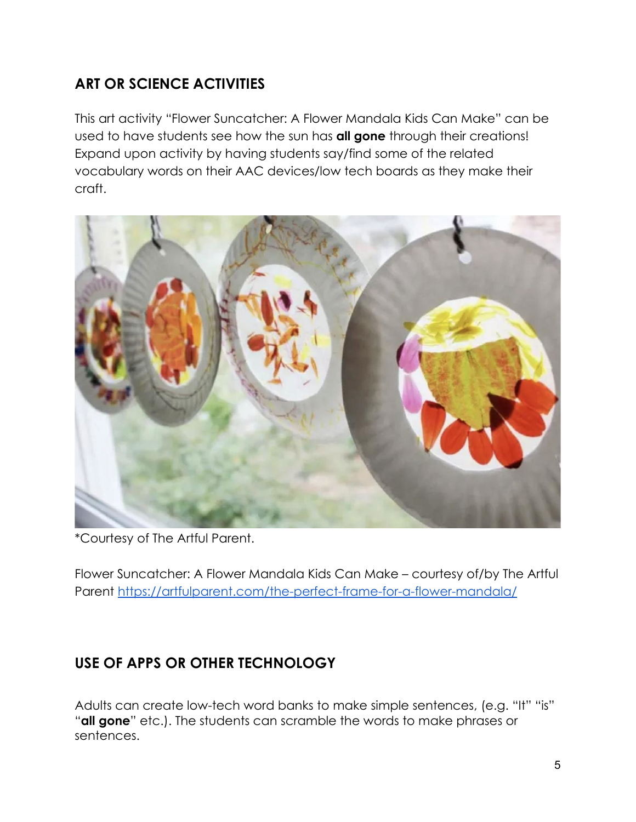## **ART OR SCIENCE ACTIVITIES**

This art activity "Flower Suncatcher: A Flower Mandala Kids Can Make" can be used to have students see how the sun has **all gone** through their creations! Expand upon activity by having students say/find some of the related vocabulary words on their AAC devices/low tech boards as they make their craft.



\*Courtesy of The Artful Parent.

Flower Suncatcher: A Flower Mandala Kids Can Make – courtesy of/by The Artful Parent<https://artfulparent.com/the-perfect-frame-for-a-flower-mandala/>

# **USE OF APPS OR OTHER TECHNOLOGY**

Adults can create low-tech word banks to make simple sentences, (e.g. "It" "is" "**all gone**" etc.). The students can scramble the words to make phrases or sentences.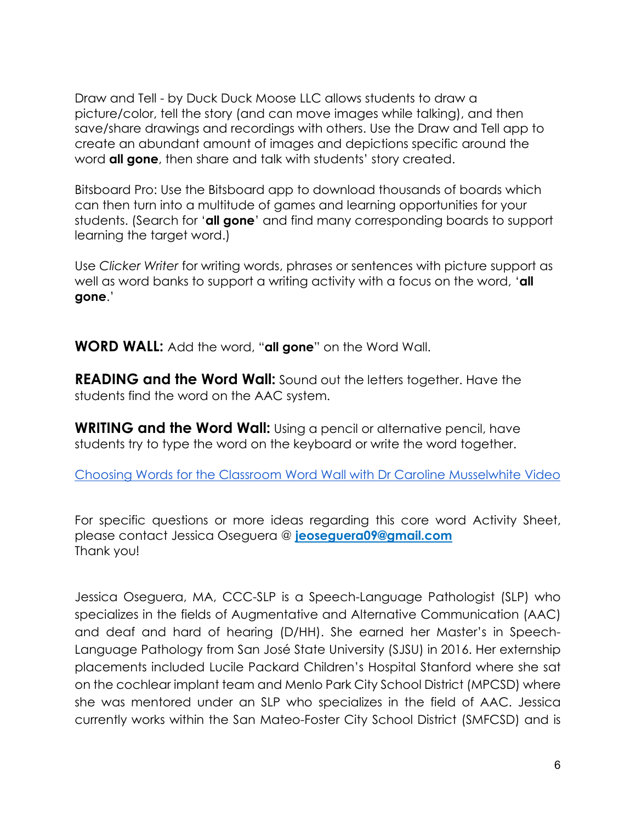Draw and Tell - by Duck Duck Moose LLC allows students to draw a picture/color, tell the story (and can move images while talking), and then save/share drawings and recordings with others. Use the Draw and Tell app to create an abundant amount of images and depictions specific around the word **all gone**, then share and talk with students' story created.

Bitsboard Pro: Use the Bitsboard app to download thousands of boards which can then turn into a multitude of games and learning opportunities for your students. (Search for '**all gone**' and find many corresponding boards to support learning the target word.)

Use *Clicker Writer* for writing words, phrases or sentences with picture support as well as word banks to support a writing activity with a focus on the word, '**all gone**.'

**WORD WALL:** Add the word, "**all gone**" on the Word Wall.

**READING and the Word Wall:** Sound out the letters together. Have the students find the word on the AAC system.

**WRITING and the Word Wall:** Using a pencil or alternative pencil, have students try to type the word on the keyboard or write the word together.

[Choosing Words for the Classroom Word Wall with Dr Caroline Musselwhite Video](https://www.youtube.com/watch?v=gNaxrzVhWUY)

For specific questions or more ideas regarding this core word Activity Sheet, please contact Jessica Oseguera @ **[jeoseguera09@gmail.com](mailto:michaelasullivan2@gmail.com)** Thank you!

Jessica Oseguera, MA, CCC-SLP is a Speech-Language Pathologist (SLP) who specializes in the fields of Augmentative and Alternative Communication (AAC) and deaf and hard of hearing (D/HH). She earned her Master's in Speech-Language Pathology from San José State University (SJSU) in 2016. Her externship placements included Lucile Packard Children's Hospital Stanford where she sat on the cochlear implant team and Menlo Park City School District (MPCSD) where she was mentored under an SLP who specializes in the field of AAC. Jessica currently works within the San Mateo-Foster City School District (SMFCSD) and is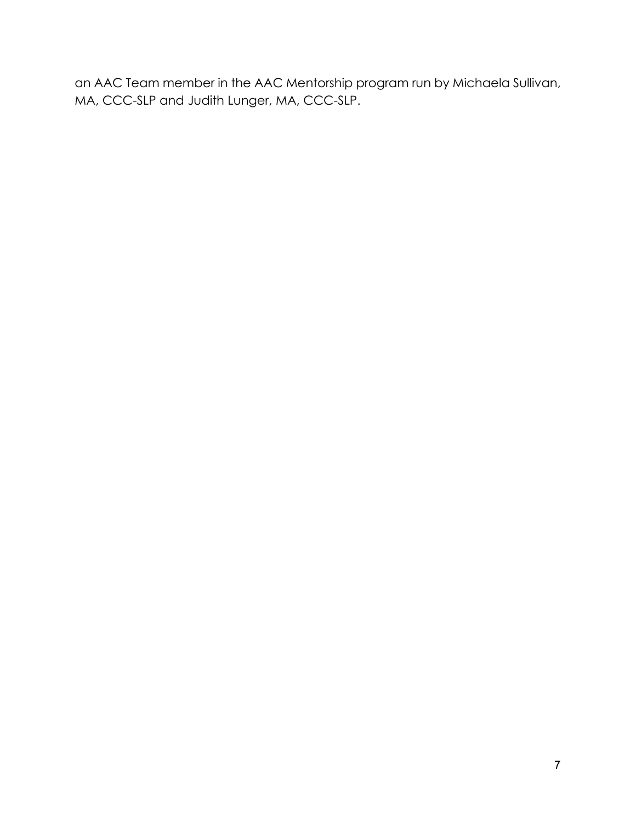an AAC Team member in the AAC Mentorship program run by Michaela Sullivan, MA, CCC-SLP and Judith Lunger, MA, CCC-SLP.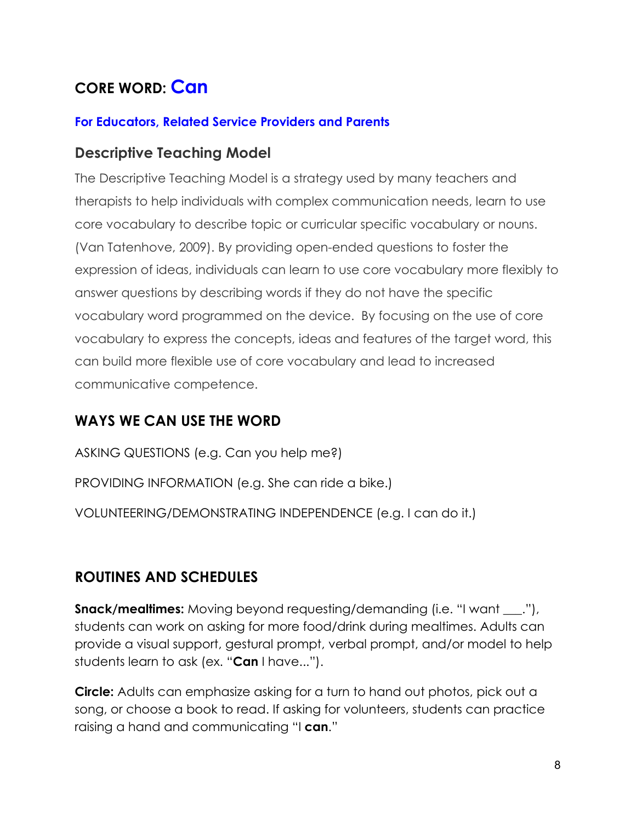# **CORE WORD: Can**

#### **For Educators, Related Service Providers and Parents**

#### **Descriptive Teaching Model**

The Descriptive Teaching Model is a strategy used by many teachers and therapists to help individuals with complex communication needs, learn to use core vocabulary to describe topic or curricular specific vocabulary or nouns. (Van Tatenhove, 2009). By providing open-ended questions to foster the expression of ideas, individuals can learn to use core vocabulary more flexibly to answer questions by describing words if they do not have the specific vocabulary word programmed on the device. By focusing on the use of core vocabulary to express the concepts, ideas and features of the target word, this can build more flexible use of core vocabulary and lead to increased communicative competence.

#### **WAYS WE CAN USE THE WORD**

ASKING QUESTIONS (e.g. Can you help me?) PROVIDING INFORMATION (e.g. She can ride a bike.) VOLUNTEERING/DEMONSTRATING INDEPENDENCE (e.g. I can do it.)

## **ROUTINES AND SCHEDULES**

**Snack/mealtimes:** Moving beyond requesting/demanding (i.e. "I want  $\ldots$ "), students can work on asking for more food/drink during mealtimes. Adults can provide a visual support, gestural prompt, verbal prompt, and/or model to help students learn to ask (ex. "**Can** I have...").

**Circle:** Adults can emphasize asking for a turn to hand out photos, pick out a song, or choose a book to read. If asking for volunteers, students can practice raising a hand and communicating "I **can**."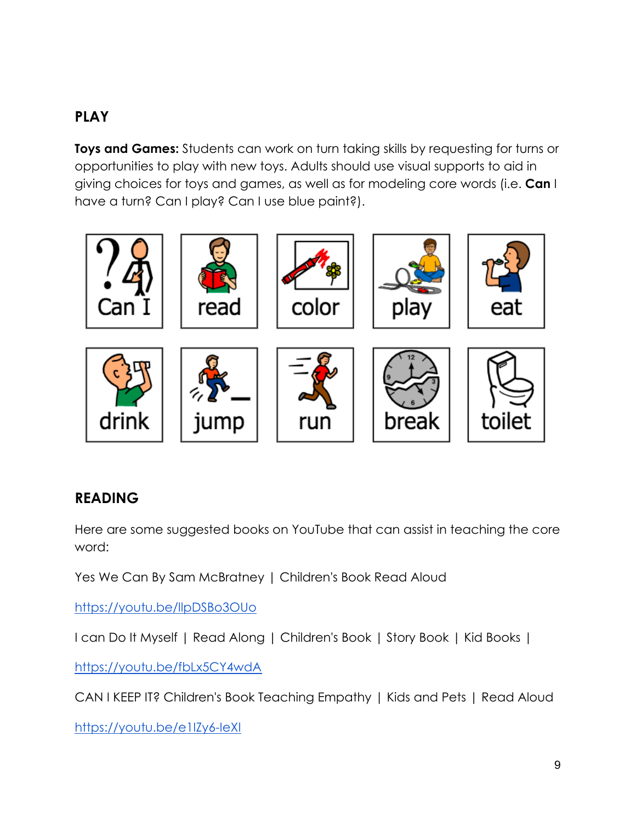## **PLAY**

**Toys and Games:** Students can work on turn taking skills by requesting for turns or opportunities to play with new toys. Adults should use visual supports to aid in giving choices for toys and games, as well as for modeling core words (i.e. **Can** I have a turn? Can I play? Can I use blue paint?).



#### **READING**

Here are some suggested books on YouTube that can assist in teaching the core word:

[Yes We Can By Sam McBratney | Children's Book Read Aloud](https://youtu.be/llpDSBo3OUo)

<https://youtu.be/llpDSBo3OUo>

[I can Do It Myself | Read Along | Children's Book | Story Book | Kid Books |](https://youtu.be/fbLx5CY4wdA)

<https://youtu.be/fbLx5CY4wdA>

[CAN I KEEP IT? Children's Book Teaching Empathy | Kids and Pets | Read Aloud](https://youtu.be/e1IZy6-IeXI)

<https://youtu.be/e1IZy6-IeXI>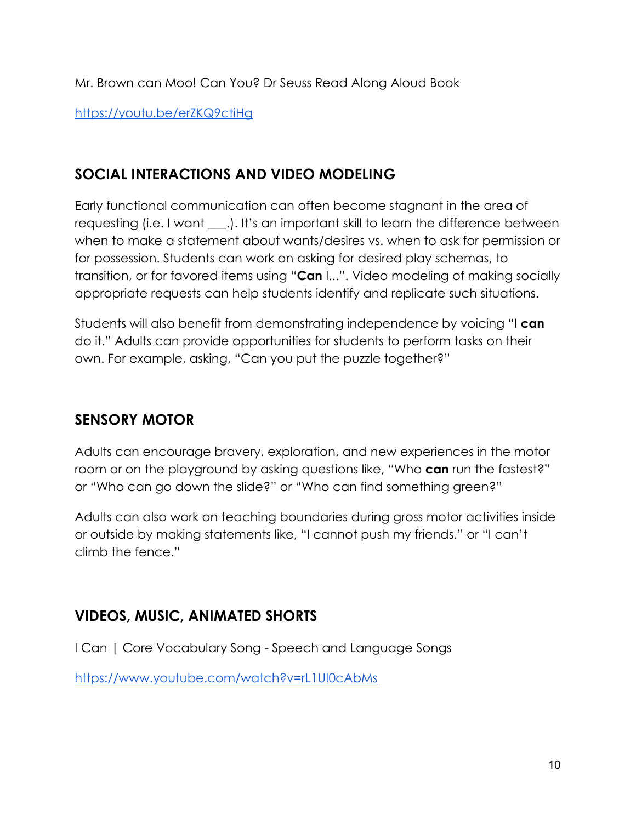Mr. [Brown can Moo! Can You? Dr Seuss Read Along Aloud Book](https://youtu.be/erZKQ9ctiHg)

<https://youtu.be/erZKQ9ctiHg>

## **SOCIAL INTERACTIONS AND VIDEO MODELING**

Early functional communication can often become stagnant in the area of requesting (i.e. I want \_\_\_.). It's an important skill to learn the difference between when to make a statement about wants/desires vs. when to ask for permission or for possession. Students can work on asking for desired play schemas, to transition, or for favored items using "**Can** I...". Video modeling of making socially appropriate requests can help students identify and replicate such situations.

Students will also benefit from demonstrating independence by voicing "I **can**  do it." Adults can provide opportunities for students to perform tasks on their own. For example, asking, "Can you put the puzzle together?"

## **SENSORY MOTOR**

Adults can encourage bravery, exploration, and new experiences in the motor room or on the playground by asking questions like, "Who **can** run the fastest?" or "Who can go down the slide?" or "Who can find something green?"

Adults can also work on teaching boundaries during gross motor activities inside or outside by making statements like, "I cannot push my friends." or "I can't climb the fence."

## **VIDEOS, MUSIC, ANIMATED SHORTS**

[I Can | Core Vocabulary Song - Speech and Language Songs](https://www.youtube.com/watch?v=rL1UI0cAbMs)

<https://www.youtube.com/watch?v=rL1UI0cAbMs>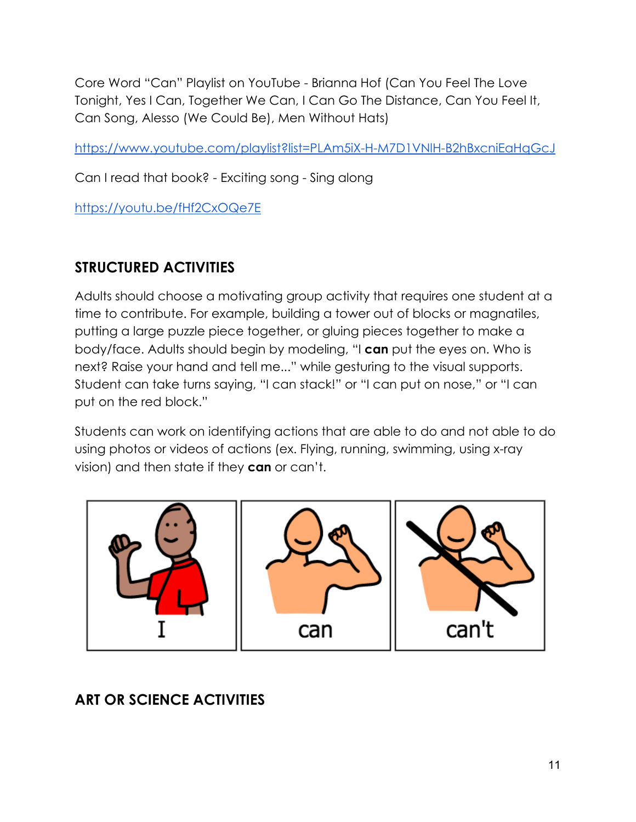[Core Word "Can" Playlist on YouTube - Brianna Hof \(Can You Feel The Love](https://www.youtube.com/playlist?list=PLAm5iX-H-M7D1VNlH-B2hBxcniEaHqGcJ)  [Tonight, Yes I Can, Together We Can, I Can Go The Distance, Can You Feel It,](https://www.youtube.com/playlist?list=PLAm5iX-H-M7D1VNlH-B2hBxcniEaHqGcJ)  [Can Song, Alesso \(We Could Be\), Men Without Hats\)](https://www.youtube.com/playlist?list=PLAm5iX-H-M7D1VNlH-B2hBxcniEaHqGcJ)

https://www.youtube.com/playlist?list=PLAm5iX-H-M7D1VNlH-B2hBxcniEaHqGcJ

Can [I read that book? - Exciting song - Sing along](https://youtu.be/fHf2CxOQe7E)

https://youtu.be/fHf2CxOQe7E

## **STRUCTURED ACTIVITIES**

Adults should choose a motivating group activity that requires one student at a time to contribute. For example, building a tower out of blocks or magnatiles, putting a large puzzle piece together, or gluing pieces together to make a body/face. Adults should begin by modeling, "I **can** put the eyes on. Who is next? Raise your hand and tell me..." while gesturing to the visual supports. Student can take turns saying, "I can stack!" or "I can put on nose," or "I can put on the red block."

Students can work on identifying actions that are able to do and not able to do using photos or videos of actions (ex. Flying, running, swimming, using x-ray vision) and then state if they **can** or can't.



## **ART OR SCIENCE ACTIVITIES**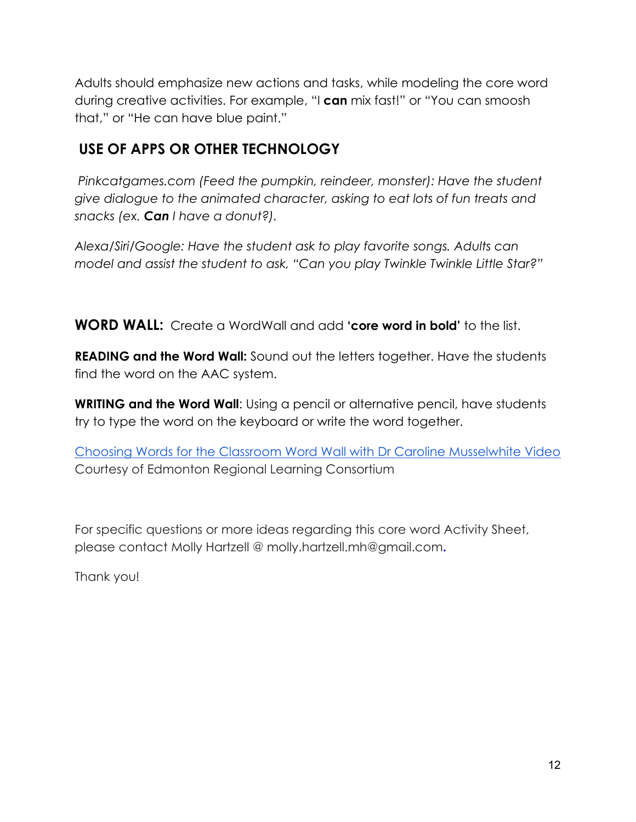Adults should emphasize new actions and tasks, while modeling the core word during creative activities. For example, "I **can** mix fast!" or "You can smoosh that," or "He can have blue paint."

## **USE OF APPS OR OTHER TECHNOLOGY**

*Pinkcatgames.com (Feed the pumpkin, reindeer, monster): Have the student give dialogue to the animated character, asking to eat lots of fun treats and snacks (ex. Can I have a donut?).*

*Alexa/Siri/Google: Have the student ask to play favorite songs. Adults can model and assist the student to ask, "Can you play Twinkle Twinkle Little Star?"*

**WORD WALL:** Create a WordWall and add **'core word in bold'** to the list.

**READING and the Word Wall:** Sound out the letters together. Have the students find the word on the AAC system.

**WRITING and the Word Wall:** Using a pencil or alternative pencil, have students try to type the word on the keyboard or write the word together.

[Choosing Words for the Classroom Word Wall with Dr Caroline Musselwhite Video](https://www.youtube.com/watch?v=gNaxrzVhWUY) Courtesy of Edmonton Regional Learning Consortium

For specific questions or more ideas regarding this core word Activity Sheet, please contact Molly Hartzell @ molly.hartzell.mh@gmail.com**.**

Thank you!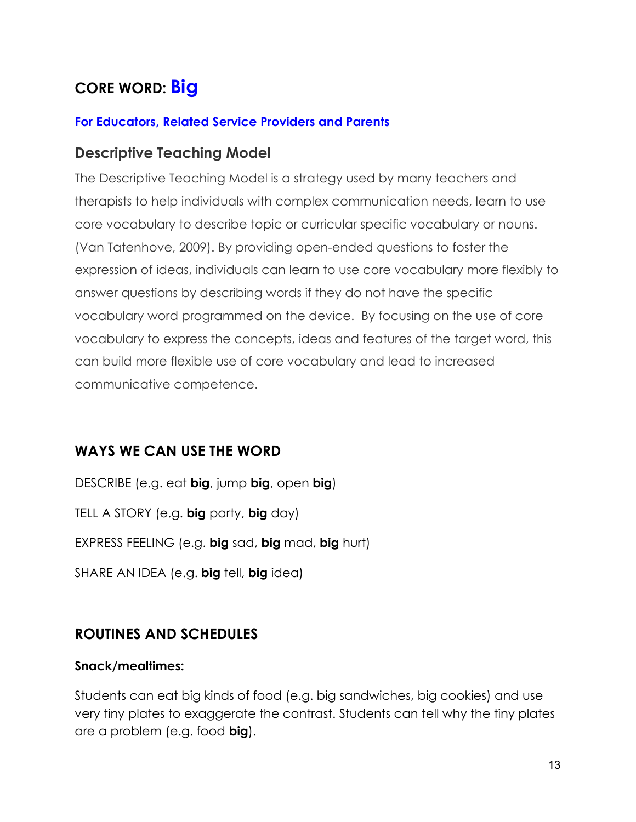# **CORE WORD: Big**

#### **For Educators, Related Service Providers and Parents**

#### **Descriptive Teaching Model**

The Descriptive Teaching Model is a strategy used by many teachers and therapists to help individuals with complex communication needs, learn to use core vocabulary to describe topic or curricular specific vocabulary or nouns. (Van Tatenhove, 2009). By providing open-ended questions to foster the expression of ideas, individuals can learn to use core vocabulary more flexibly to answer questions by describing words if they do not have the specific vocabulary word programmed on the device. By focusing on the use of core vocabulary to express the concepts, ideas and features of the target word, this can build more flexible use of core vocabulary and lead to increased communicative competence.

#### **WAYS WE CAN USE THE WORD**

DESCRIBE (e.g. eat **big**, jump **big**, open **big**) TELL A STORY (e.g. **big** party, **big** day) EXPRESS FEELING (e.g. **big** sad, **big** mad, **big** hurt) SHARE AN IDEA (e.g. **big** tell, **big** idea)

#### **ROUTINES AND SCHEDULES**

#### **Snack/mealtimes:**

Students can eat big kinds of food (e.g. big sandwiches, big cookies) and use very tiny plates to exaggerate the contrast. Students can tell why the tiny plates are a problem (e.g. food **big**).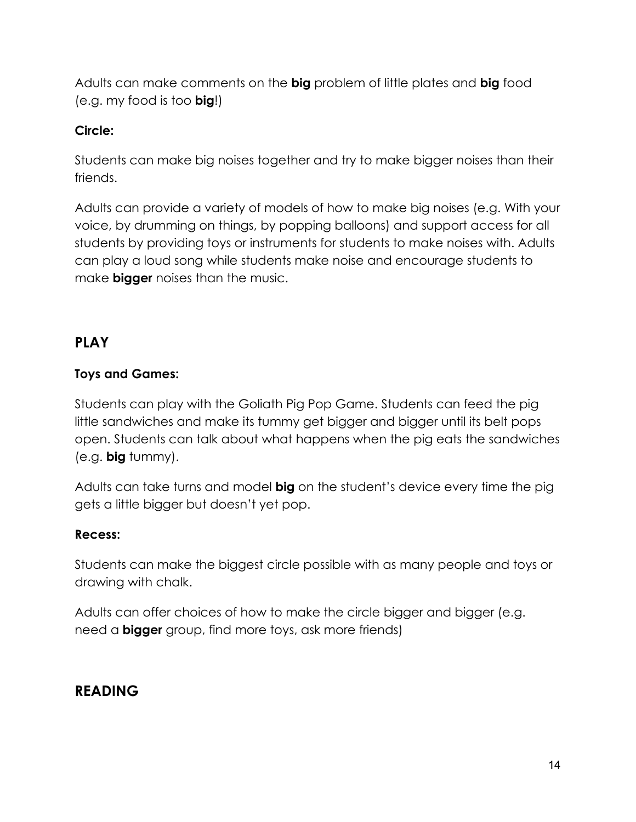Adults can make comments on the **big** problem of little plates and **big** food (e.g. my food is too **big**!)

#### **Circle:**

Students can make big noises together and try to make bigger noises than their friends.

Adults can provide a variety of models of how to make big noises (e.g. With your voice, by drumming on things, by popping balloons) and support access for all students by providing toys or instruments for students to make noises with. Adults can play a loud song while students make noise and encourage students to make **bigger** noises than the music.

#### **PLAY**

#### **Toys and Games:**

Students can play with the Goliath Pig Pop Game. Students can feed the pig little sandwiches and make its tummy get bigger and bigger until its belt pops open. Students can talk about what happens when the pig eats the sandwiches (e.g. **big** tummy).

Adults can take turns and model **big** on the student's device every time the pig gets a little bigger but doesn't yet pop.

#### **Recess:**

Students can make the biggest circle possible with as many people and toys or drawing with chalk.

Adults can offer choices of how to make the circle bigger and bigger (e.g. need a **bigger** group, find more toys, ask more friends)

#### **READING**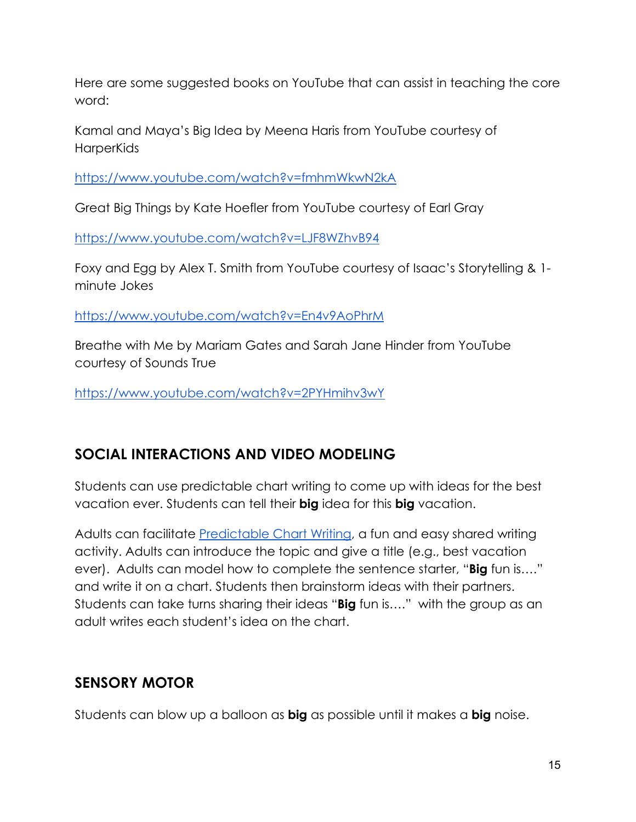Here are some suggested books on YouTube that can assist in teaching the core word:

Kamal and Maya's Big Idea by Meena Haris from YouTube courtesy of **HarperKids** 

<https://www.youtube.com/watch?v=fmhmWkwN2kA>

Great Big Things by Kate Hoefler from YouTube courtesy of Earl Gray

<https://www.youtube.com/watch?v=LJF8WZhvB94>

Foxy and Egg by Alex T. Smith from YouTube courtesy of Isaac's Storytelling & 1 minute Jokes

<https://www.youtube.com/watch?v=En4v9AoPhrM>

Breathe with Me by Mariam Gates and Sarah Jane Hinder from YouTube courtesy of Sounds True

<https://www.youtube.com/watch?v=2PYHmihv3wY>

## **SOCIAL INTERACTIONS AND VIDEO MODELING**

Students can use predictable chart writing to come up with ideas for the best vacation ever. Students can tell their **big** idea for this **big** vacation.

Adults can facilitate [Predictable Chart Writing,](https://www.med.unc.edu/ahs/clds/files/2018/09/PredChartWriting.pdf) a fun and easy shared writing activity. Adults can introduce the topic and give a title (e.g., best vacation ever). Adults can model how to complete the sentence starter, "**Big** fun is…." and write it on a chart. Students then brainstorm ideas with their partners. Students can take turns sharing their ideas "**Big** fun is…." with the group as an adult writes each student's idea on the chart.

## **SENSORY MOTOR**

Students can blow up a balloon as **big** as possible until it makes a **big** noise.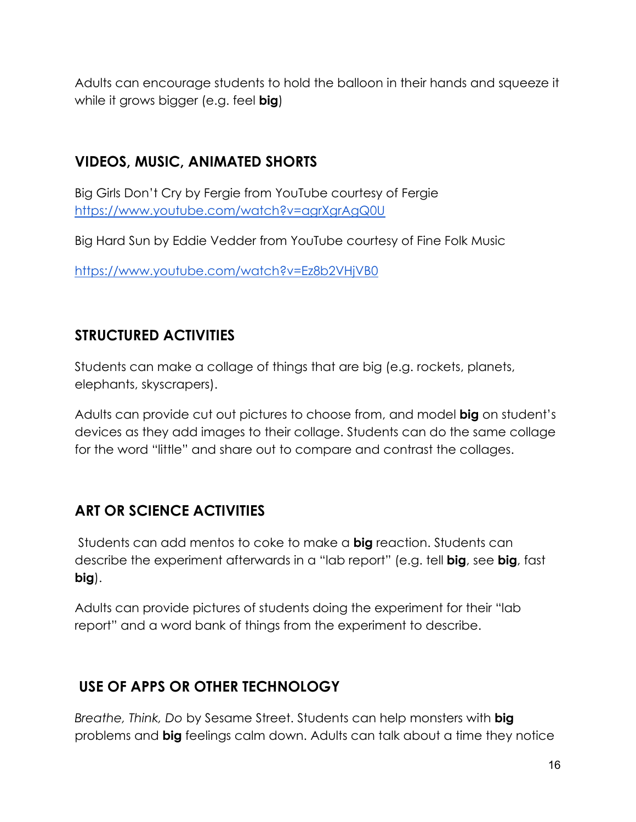Adults can encourage students to hold the balloon in their hands and squeeze it while it grows bigger (e.g. feel **big**)

## **VIDEOS, MUSIC, ANIMATED SHORTS**

Big Girls Don't Cry by Fergie from YouTube courtesy of Fergie <https://www.youtube.com/watch?v=agrXgrAgQ0U>

Big Hard Sun by Eddie Vedder from YouTube courtesy of Fine Folk Music

<https://www.youtube.com/watch?v=Ez8b2VHjVB0>

## **STRUCTURED ACTIVITIES**

Students can make a collage of things that are big (e.g. rockets, planets, elephants, skyscrapers).

Adults can provide cut out pictures to choose from, and model **big** on student's devices as they add images to their collage. Students can do the same collage for the word "little" and share out to compare and contrast the collages.

## **ART OR SCIENCE ACTIVITIES**

Students can add mentos to coke to make a **big** reaction. Students can describe the experiment afterwards in a "lab report" (e.g. tell **big**, see **big**, fast **big**).

Adults can provide pictures of students doing the experiment for their "lab report" and a word bank of things from the experiment to describe.

## **USE OF APPS OR OTHER TECHNOLOGY**

*Breathe, Think, Do* by Sesame Street. Students can help monsters with **big** problems and **big** feelings calm down. Adults can talk about a time they notice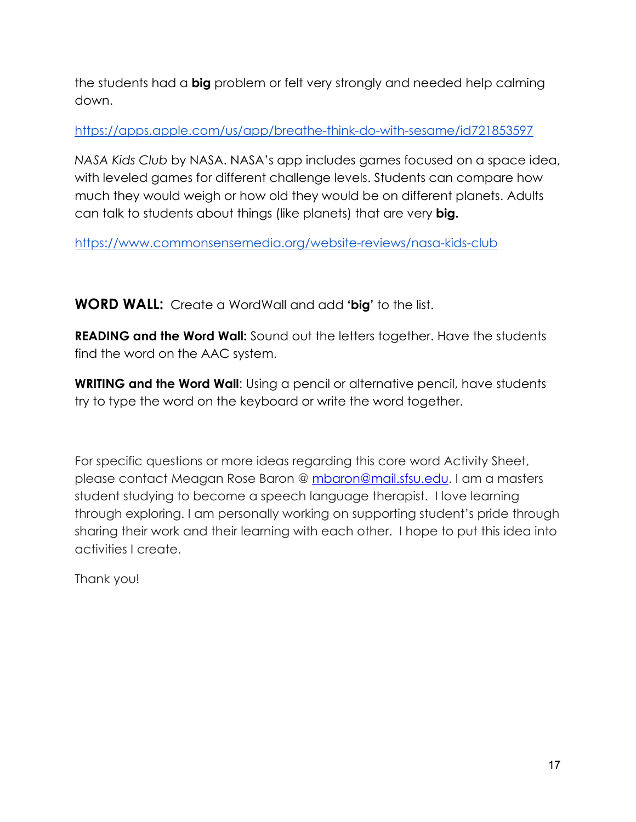the students had a **big** problem or felt very strongly and needed help calming down.

<https://apps.apple.com/us/app/breathe-think-do-with-sesame/id721853597>

*NASA Kids Club* by NASA. NASA's app includes games focused on a space idea, with leveled games for different challenge levels. Students can compare how much they would weigh or how old they would be on different planets. Adults can talk to students about things (like planets) that are very **big.** 

<https://www.commonsensemedia.org/website-reviews/nasa-kids-club>

**WORD WALL:** Create a WordWall and add **'big'** to the list.

**READING and the Word Wall:** Sound out the letters together. Have the students find the word on the AAC system.

**WRITING and the Word Wall:** Using a pencil or alternative pencil, have students try to type the word on the keyboard or write the word together.

For specific questions or more ideas regarding this core word Activity Sheet, please contact Meagan Rose Baron @ [mbaron@mail.sfsu.edu.](mailto:mbaron@mail.sfsu.edu) I am a masters student studying to become a speech language therapist. I love learning through exploring. I am personally working on supporting student's pride through sharing their work and their learning with each other. I hope to put this idea into activities I create.

Thank you!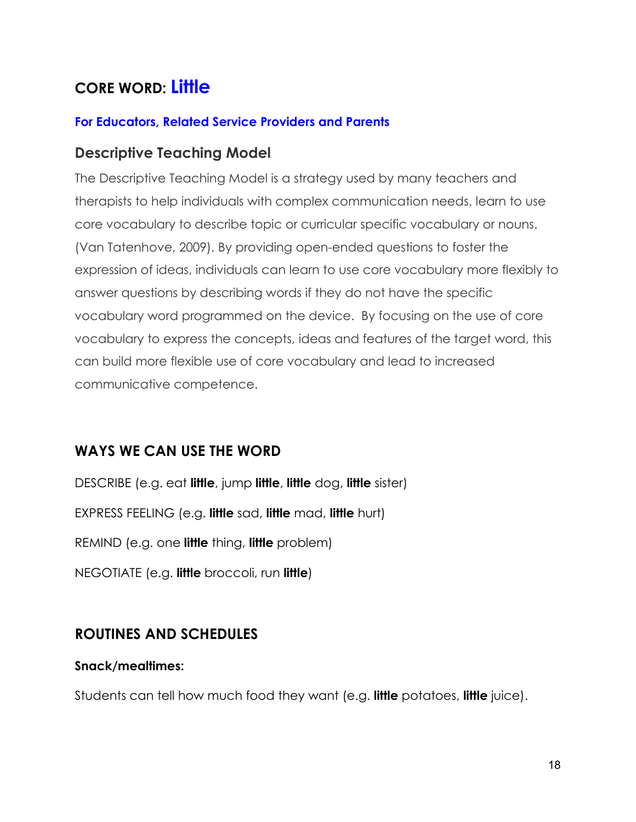# **CORE WORD: Little**

#### **For Educators, Related Service Providers and Parents**

#### **Descriptive Teaching Model**

The Descriptive Teaching Model is a strategy used by many teachers and therapists to help individuals with complex communication needs, learn to use core vocabulary to describe topic or curricular specific vocabulary or nouns. (Van Tatenhove, 2009). By providing open-ended questions to foster the expression of ideas, individuals can learn to use core vocabulary more flexibly to answer questions by describing words if they do not have the specific vocabulary word programmed on the device. By focusing on the use of core vocabulary to express the concepts, ideas and features of the target word, this can build more flexible use of core vocabulary and lead to increased communicative competence.

#### **WAYS WE CAN USE THE WORD**

DESCRIBE (e.g. eat **little**, jump **little**, **little** dog, **little** sister) EXPRESS FEELING (e.g. **little** sad, **little** mad, **little** hurt) REMIND (e.g. one **little** thing, **little** problem) NEGOTIATE (e.g. **little** broccoli, run **little**)

#### **ROUTINES AND SCHEDULES**

#### **Snack/mealtimes:**

Students can tell how much food they want (e.g. **little** potatoes, **little** juice).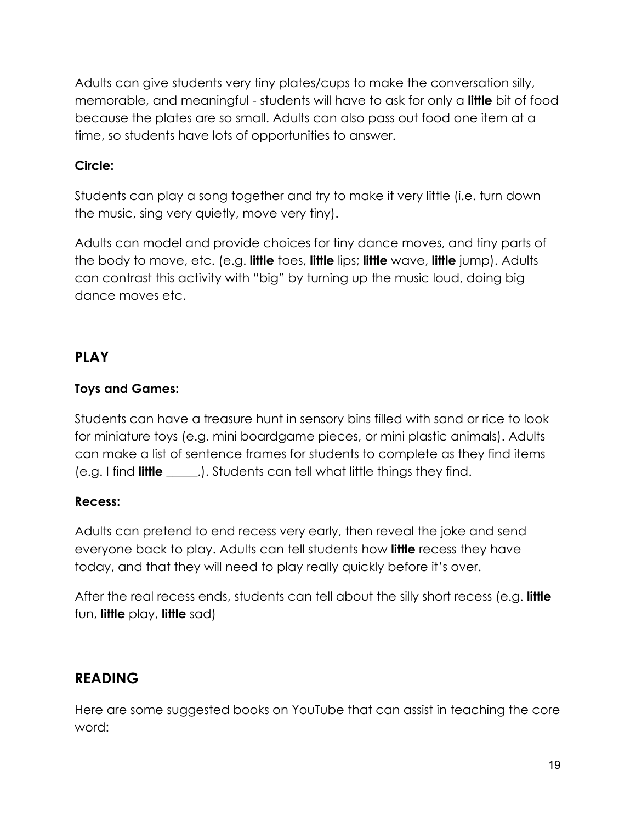Adults can give students very tiny plates/cups to make the conversation silly, memorable, and meaningful - students will have to ask for only a **little** bit of food because the plates are so small. Adults can also pass out food one item at a time, so students have lots of opportunities to answer.

#### **Circle:**

Students can play a song together and try to make it very little (i.e. turn down the music, sing very quietly, move very tiny).

Adults can model and provide choices for tiny dance moves, and tiny parts of the body to move, etc. (e.g. **little** toes, **little** lips; **little** wave, **little** jump). Adults can contrast this activity with "big" by turning up the music loud, doing big dance moves etc.

#### **PLAY**

#### **Toys and Games:**

Students can have a treasure hunt in sensory bins filled with sand or rice to look for miniature toys (e.g. mini boardgame pieces, or mini plastic animals). Adults can make a list of sentence frames for students to complete as they find items (e.g. I find **little** \_\_\_\_\_.). Students can tell what little things they find.

#### **Recess:**

Adults can pretend to end recess very early, then reveal the joke and send everyone back to play. Adults can tell students how **little** recess they have today, and that they will need to play really quickly before it's over.

After the real recess ends, students can tell about the silly short recess (e.g. **little**  fun, **little** play, **little** sad)

## **READING**

Here are some suggested books on YouTube that can assist in teaching the core word: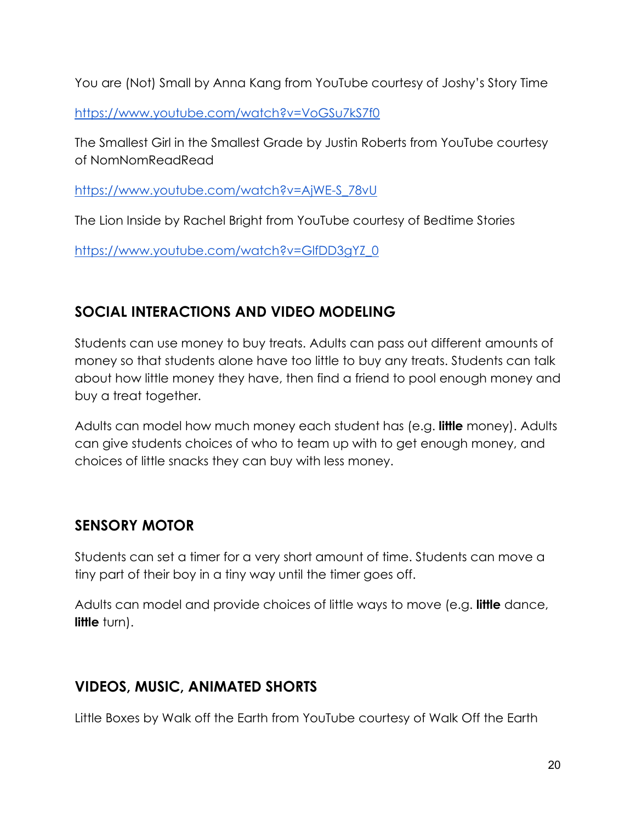You are (Not) Small by Anna Kang from YouTube courtesy of Joshy's Story Time

<https://www.youtube.com/watch?v=VoGSu7kS7f0>

The Smallest Girl in the Smallest Grade by Justin Roberts from YouTube courtesy of NomNomReadRead

[https://www.youtube.com/watch?v=AjWE-S\\_78vU](https://www.youtube.com/watch?v=AjWE-S_78vU)

The Lion Inside by Rachel Bright from YouTube courtesy of Bedtime Stories

[https://www.youtube.com/watch?v=GlfDD3gYZ\\_0](https://www.youtube.com/watch?v=GlfDD3gYZ_0)

## **SOCIAL INTERACTIONS AND VIDEO MODELING**

Students can use money to buy treats. Adults can pass out different amounts of money so that students alone have too little to buy any treats. Students can talk about how little money they have, then find a friend to pool enough money and buy a treat together.

Adults can model how much money each student has (e.g. **little** money). Adults can give students choices of who to team up with to get enough money, and choices of little snacks they can buy with less money.

## **SENSORY MOTOR**

Students can set a timer for a very short amount of time. Students can move a tiny part of their boy in a tiny way until the timer goes off.

Adults can model and provide choices of little ways to move (e.g. **little** dance, **little** turn).

## **VIDEOS, MUSIC, ANIMATED SHORTS**

Little Boxes by Walk off the Earth from YouTube courtesy of Walk Off the Earth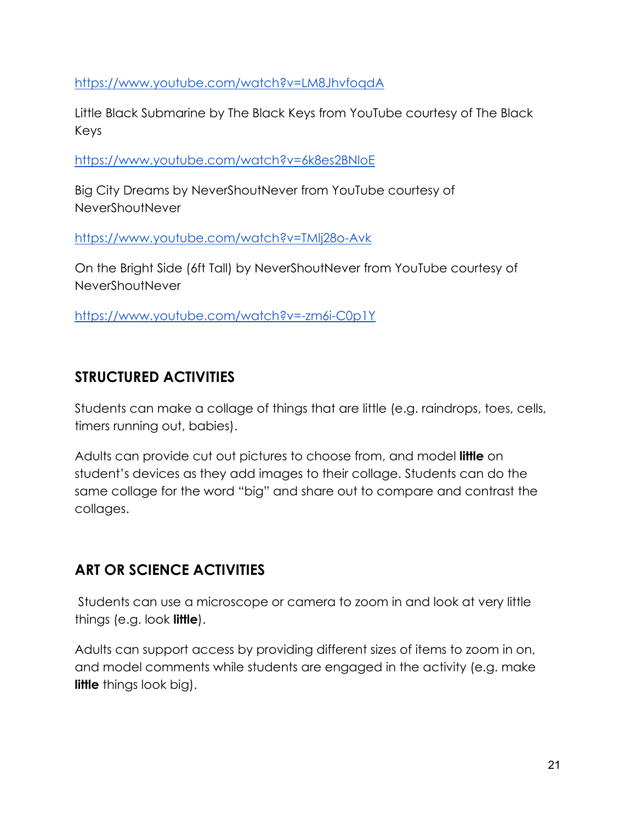<https://www.youtube.com/watch?v=LM8JhvfoqdA>

Little Black Submarine by The Black Keys from YouTube courtesy of The Black Keys

<https://www.youtube.com/watch?v=6k8es2BNloE>

Big City Dreams by NeverShoutNever from YouTube courtesy of NeverShoutNever

<https://www.youtube.com/watch?v=TMlj28o-Avk>

On the Bright Side (6ft Tall) by NeverShoutNever from YouTube courtesy of NeverShoutNever

<https://www.youtube.com/watch?v=-zm6i-C0p1Y>

## **STRUCTURED ACTIVITIES**

Students can make a collage of things that are little (e.g. raindrops, toes, cells, timers running out, babies).

Adults can provide cut out pictures to choose from, and model **little** on student's devices as they add images to their collage. Students can do the same collage for the word "big" and share out to compare and contrast the collages.

## **ART OR SCIENCE ACTIVITIES**

Students can use a microscope or camera to zoom in and look at very little things (e.g. look **little**).

Adults can support access by providing different sizes of items to zoom in on, and model comments while students are engaged in the activity (e.g. make **little** things look big).